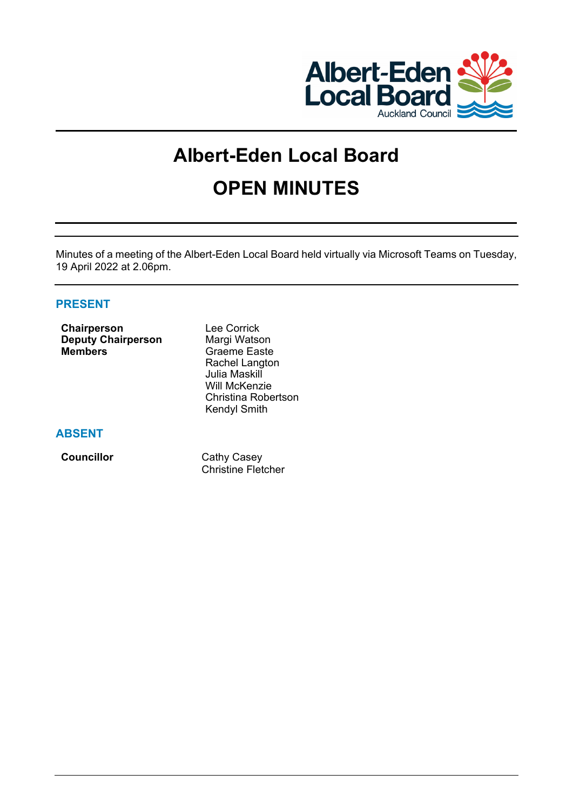

# **Albert-Eden Local Board OPEN MINUTES**

Minutes of a meeting of the Albert-Eden Local Board held virtually via Microsoft Teams on Tuesday, 19 April 2022 at 2.06pm.

# **PRESENT**

| Chairperson               |  |  |  |  |  |  |  |
|---------------------------|--|--|--|--|--|--|--|
| <b>Deputy Chairperson</b> |  |  |  |  |  |  |  |
| <b>Members</b>            |  |  |  |  |  |  |  |

Lee Corrick **Margi Watson Graeme Easte** Rachel Langton Julia Maskill Will McKenzie Christina Robertson Kendyl Smith

# **ABSENT**

**Councillor** Cathy Casey Christine Fletcher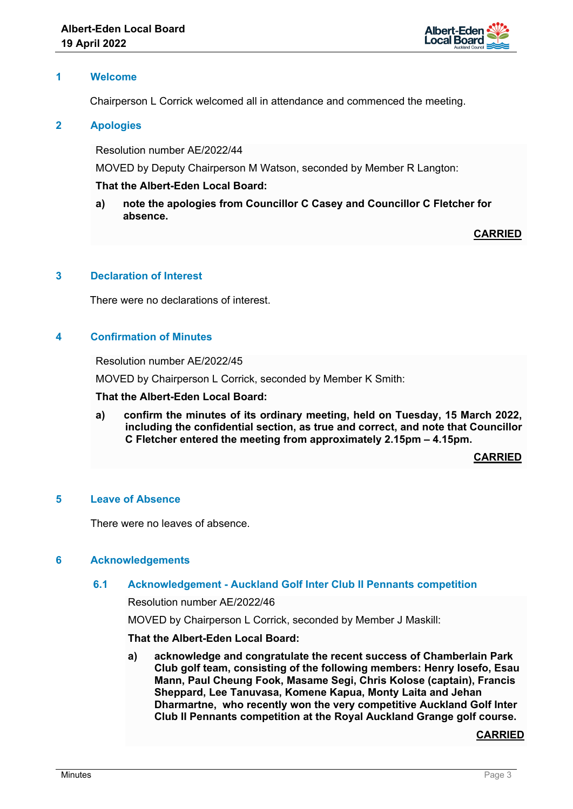

## **1 Welcome**

Chairperson L Corrick welcomed all in attendance and commenced the meeting.

## **2 Apologies**

Resolution number AE/2022/44

MOVED by Deputy Chairperson M Watson, seconded by Member R Langton:

## **That the Albert-Eden Local Board:**

**a) note the apologies from Councillor C Casey and Councillor C Fletcher for absence.** 

**CARRIED**

## **3 Declaration of Interest**

There were no declarations of interest.

## **4 Confirmation of Minutes**

Resolution number AE/2022/45

MOVED by Chairperson L Corrick, seconded by Member K Smith:

#### **That the Albert-Eden Local Board:**

**a) confirm the minutes of its ordinary meeting, held on Tuesday, 15 March 2022, including the confidential section, as true and correct, and note that Councillor C Fletcher entered the meeting from approximately 2.15pm – 4.15pm.**

**CARRIED**

## **5 Leave of Absence**

There were no leaves of absence.

## **6 Acknowledgements**

# **6.1 Acknowledgement - Auckland Golf Inter Club II Pennants competition**

Resolution number AE/2022/46

MOVED by Chairperson L Corrick, seconded by Member J Maskill:

## **That the Albert-Eden Local Board:**

**a) acknowledge and congratulate the recent success of Chamberlain Park Club golf team, consisting of the following members: Henry Iosefo, Esau Mann, Paul Cheung Fook, Masame Segi, Chris Kolose (captain), Francis Sheppard, Lee Tanuvasa, Komene Kapua, Monty Laita and Jehan Dharmartne, who recently won the very competitive Auckland Golf Inter Club II Pennants competition at the Royal Auckland Grange golf course.**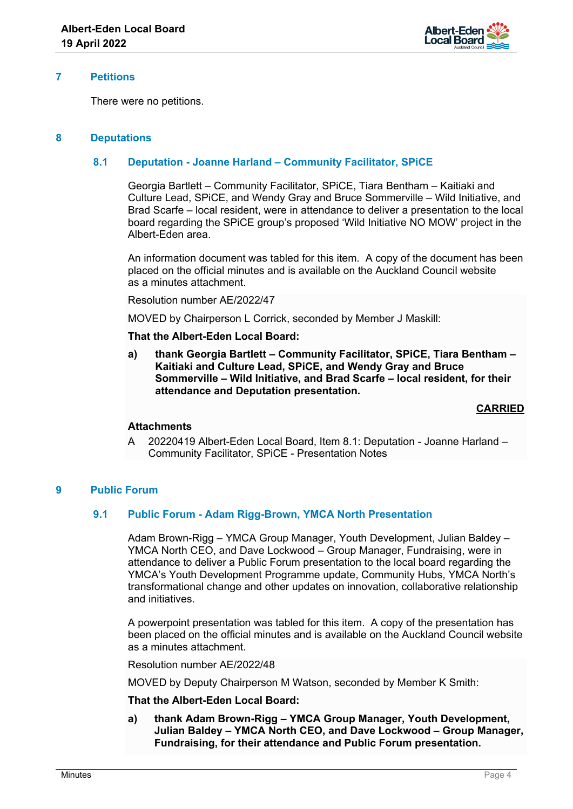

## **7 Petitions**

There were no petitions.

## **8 Deputations**

## **8.1 Deputation - Joanne Harland – Community Facilitator, SPiCE**

Georgia Bartlett – Community Facilitator, SPiCE, Tiara Bentham – Kaitiaki and Culture Lead, SPiCE, and Wendy Gray and Bruce Sommerville – Wild Initiative, and Brad Scarfe – local resident, were in attendance to deliver a presentation to the local board regarding the SPiCE group's proposed 'Wild Initiative NO MOW' project in the Albert-Eden area.

An information document was tabled for this item. A copy of the document has been placed on the official minutes and is available on the Auckland Council website as a minutes attachment.

Resolution number AE/2022/47

MOVED by Chairperson L Corrick, seconded by Member J Maskill:

## **That the Albert-Eden Local Board:**

**a) thank Georgia Bartlett – Community Facilitator, SPiCE, Tiara Bentham – Kaitiaki and Culture Lead, SPiCE, and Wendy Gray and Bruce Sommerville – Wild Initiative, and Brad Scarfe – local resident, for their attendance and Deputation presentation.**

## **CARRIED**

## **Attachments**

A 20220419 Albert-Eden Local Board, Item 8.1: Deputation - Joanne Harland – Community Facilitator, SPiCE - Presentation Notes

## **9 Public Forum**

## **9.1 Public Forum - Adam Rigg-Brown, YMCA North Presentation**

Adam Brown-Rigg – YMCA Group Manager, Youth Development, Julian Baldey – YMCA North CEO, and Dave Lockwood – Group Manager, Fundraising, were in attendance to deliver a Public Forum presentation to the local board regarding the YMCA's Youth Development Programme update, Community Hubs, YMCA North's transformational change and other updates on innovation, collaborative relationship and initiatives.

A powerpoint presentation was tabled for this item. A copy of the presentation has been placed on the official minutes and is available on the Auckland Council website as a minutes attachment.

Resolution number AE/2022/48

MOVED by Deputy Chairperson M Watson, seconded by Member K Smith:

## **That the Albert-Eden Local Board:**

**a) thank Adam Brown-Rigg – YMCA Group Manager, Youth Development, Julian Baldey – YMCA North CEO, and Dave Lockwood – Group Manager, Fundraising, for their attendance and Public Forum presentation.**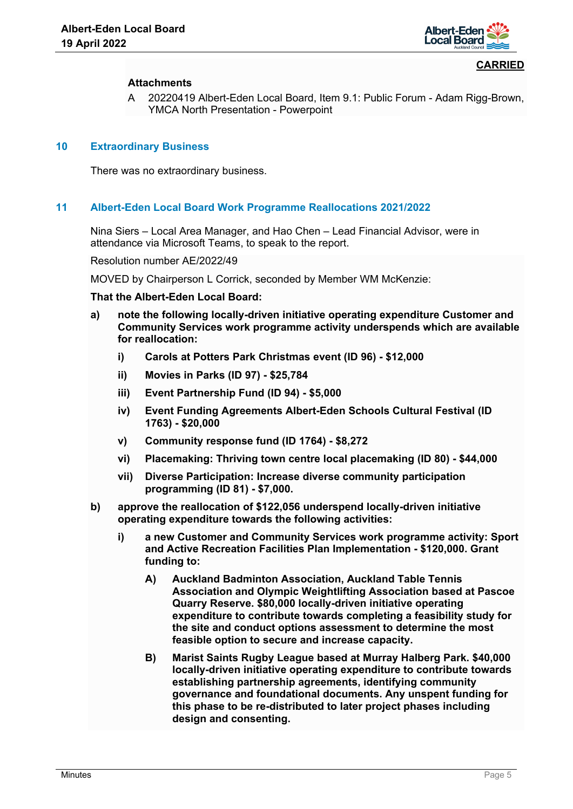

## **Attachments**

A 20220419 Albert-Eden Local Board, Item 9.1: Public Forum - Adam Rigg-Brown, YMCA North Presentation - Powerpoint

## **10 Extraordinary Business**

There was no extraordinary business.

## **11 Albert-Eden Local Board Work Programme Reallocations 2021/2022**

Nina Siers – Local Area Manager, and Hao Chen – Lead Financial Advisor, were in attendance via Microsoft Teams, to speak to the report.

Resolution number AE/2022/49

MOVED by Chairperson L Corrick, seconded by Member WM McKenzie:

- **a) note the following locally-driven initiative operating expenditure Customer and Community Services work programme activity underspends which are available for reallocation:** 
	- **i) Carols at Potters Park Christmas event (ID 96) \$12,000**
	- **ii) Movies in Parks (ID 97) \$25,784**
	- **iii) Event Partnership Fund (ID 94) \$5,000**
	- **iv) Event Funding Agreements Albert-Eden Schools Cultural Festival (ID 1763) - \$20,000**
	- **v) Community response fund (ID 1764) \$8,272**
	- **vi) Placemaking: Thriving town centre local placemaking (ID 80) \$44,000**
	- **vii) Diverse Participation: Increase diverse community participation programming (ID 81) - \$7,000.**
- **b) approve the reallocation of \$122,056 underspend locally-driven initiative operating expenditure towards the following activities:** 
	- **i) a new Customer and Community Services work programme activity: Sport and Active Recreation Facilities Plan Implementation - \$120,000. Grant funding to:** 
		- **A) Auckland Badminton Association, Auckland Table Tennis Association and Olympic Weightlifting Association based at Pascoe Quarry Reserve. \$80,000 locally-driven initiative operating expenditure to contribute towards completing a feasibility study for the site and conduct options assessment to determine the most feasible option to secure and increase capacity.**
		- **B) Marist Saints Rugby League based at Murray Halberg Park. \$40,000 locally-driven initiative operating expenditure to contribute towards establishing partnership agreements, identifying community governance and foundational documents. Any unspent funding for this phase to be re-distributed to later project phases including design and consenting.**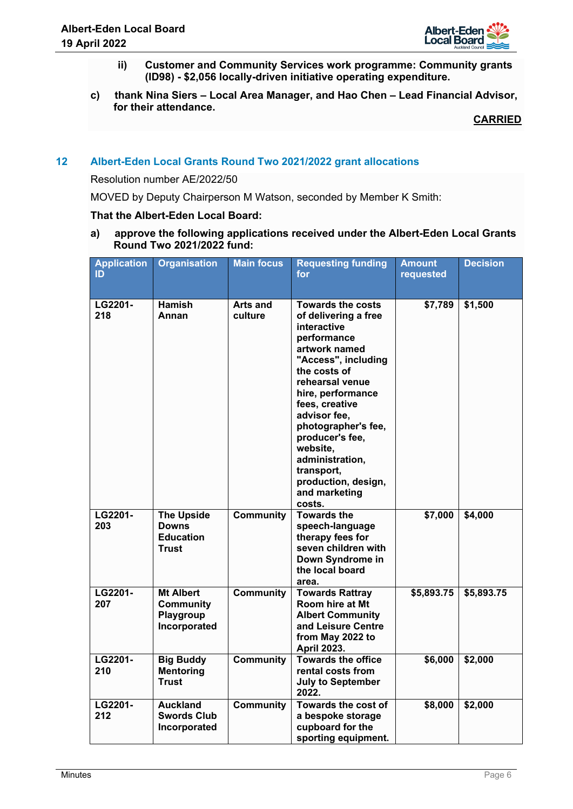

- **ii) Customer and Community Services work programme: Community grants (ID98) - \$2,056 locally-driven initiative operating expenditure.**
- **c) thank Nina Siers Local Area Manager, and Hao Chen Lead Financial Advisor, for their attendance.**

# **12 Albert-Eden Local Grants Round Two 2021/2022 grant allocations**

Resolution number AE/2022/50

MOVED by Deputy Chairperson M Watson, seconded by Member K Smith:

## **That the Albert-Eden Local Board:**

**a) approve the following applications received under the Albert-Eden Local Grants Round Two 2021/2022 fund:**

| <b>Application</b><br>ID | <b>Organisation</b>                                               | <b>Main focus</b>          | <b>Requesting funding</b><br>for                                                                                                                                                                                                                                                                                                                          | <b>Amount</b><br>requested | <b>Decision</b> |
|--------------------------|-------------------------------------------------------------------|----------------------------|-----------------------------------------------------------------------------------------------------------------------------------------------------------------------------------------------------------------------------------------------------------------------------------------------------------------------------------------------------------|----------------------------|-----------------|
| LG2201-<br>218           | <b>Hamish</b><br>Annan                                            | <b>Arts and</b><br>culture | <b>Towards the costs</b><br>of delivering a free<br>interactive<br>performance<br>artwork named<br>"Access", including<br>the costs of<br>rehearsal venue<br>hire, performance<br>fees, creative<br>advisor fee,<br>photographer's fee,<br>producer's fee,<br>website,<br>administration,<br>transport,<br>production, design,<br>and marketing<br>costs. | \$7,789                    | \$1,500         |
| LG2201-<br>203           | <b>The Upside</b><br><b>Downs</b><br><b>Education</b><br>Trust    | Community                  | <b>Towards the</b><br>speech-language<br>therapy fees for<br>seven children with<br>Down Syndrome in<br>the local board<br>area.                                                                                                                                                                                                                          | \$7,000                    | \$4,000         |
| LG2201-<br>207           | <b>Mt Albert</b><br><b>Community</b><br>Playgroup<br>Incorporated | <b>Community</b>           | <b>Towards Rattray</b><br>Room hire at Mt<br><b>Albert Community</b><br>and Leisure Centre<br>from May 2022 to<br><b>April 2023.</b>                                                                                                                                                                                                                      | \$5,893.75                 | \$5,893.75      |
| LG2201-<br>210           | <b>Big Buddy</b><br>Mentoring<br><b>Trust</b>                     | <b>Community</b>           | <b>Towards the office</b><br>rental costs from<br><b>July to September</b><br>2022.                                                                                                                                                                                                                                                                       | \$6,000                    | \$2,000         |
| LG2201-<br>212           | <b>Auckland</b><br><b>Swords Club</b><br>Incorporated             | <b>Community</b>           | Towards the cost of<br>a bespoke storage<br>cupboard for the<br>sporting equipment.                                                                                                                                                                                                                                                                       | \$8,000                    | \$2,000         |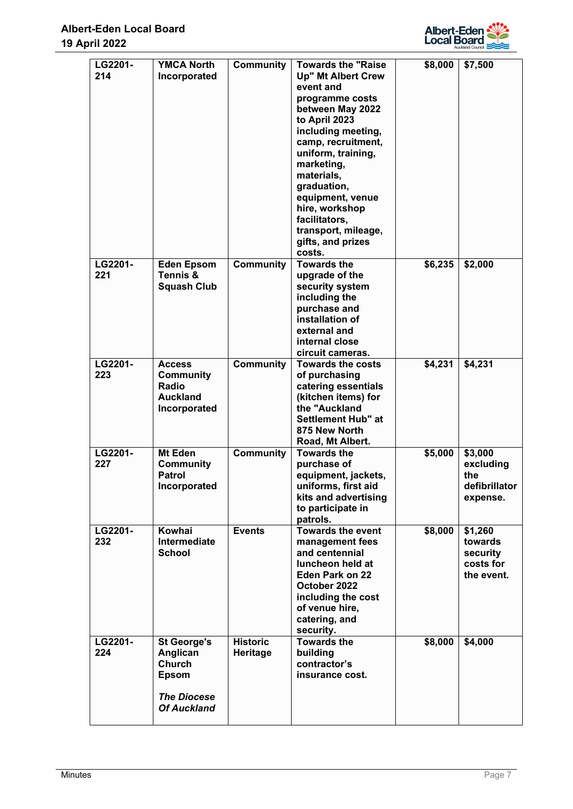

| LG2201-<br>214 | <b>YMCA North</b><br>Incorporated                                                             | Community                   | <b>Towards the "Raise</b><br><b>Up" Mt Albert Crew</b><br>event and<br>programme costs<br>between May 2022<br>to April 2023<br>including meeting,<br>camp, recruitment,<br>uniform, training,<br>marketing,<br>materials,<br>graduation,<br>equipment, venue<br>hire, workshop<br>facilitators,<br>transport, mileage, | \$8,000 | \$7,500                                                   |
|----------------|-----------------------------------------------------------------------------------------------|-----------------------------|------------------------------------------------------------------------------------------------------------------------------------------------------------------------------------------------------------------------------------------------------------------------------------------------------------------------|---------|-----------------------------------------------------------|
| LG2201-<br>221 | <b>Eden Epsom</b><br>Tennis &<br><b>Squash Club</b>                                           | Community                   | gifts, and prizes<br>costs.<br><b>Towards the</b><br>upgrade of the<br>security system<br>including the<br>purchase and<br>installation of<br>external and<br>internal close<br>circuit cameras.                                                                                                                       | \$6,235 | \$2,000                                                   |
| LG2201-<br>223 | <b>Access</b><br><b>Community</b><br>Radio<br><b>Auckland</b><br>Incorporated                 | Community                   | <b>Towards the costs</b><br>of purchasing<br>catering essentials<br>(kitchen items) for<br>the "Auckland<br><b>Settlement Hub" at</b><br>875 New North<br>Road, Mt Albert.                                                                                                                                             | \$4,231 | \$4,231                                                   |
| LG2201-<br>227 | Mt Eden<br><b>Community</b><br><b>Patrol</b><br>Incorporated                                  | <b>Community</b>            | <b>Towards the</b><br>purchase of<br>equipment, jackets,<br>uniforms, first aid<br>kits and advertising<br>to participate in<br>patrols.                                                                                                                                                                               | \$5,000 | \$3,000<br>excluding<br>the<br>defibrillator<br>expense.  |
| LG2201-<br>232 | Kowhai<br>Intermediate<br><b>School</b>                                                       | <b>Events</b>               | <b>Towards the event</b><br>management fees<br>and centennial<br>luncheon held at<br>Eden Park on 22<br>October 2022<br>including the cost<br>of venue hire,<br>catering, and<br>security.                                                                                                                             | \$8,000 | \$1,260<br>towards<br>security<br>costs for<br>the event. |
| LG2201-<br>224 | <b>St George's</b><br>Anglican<br>Church<br>Epsom<br><b>The Diocese</b><br><b>Of Auckland</b> | <b>Historic</b><br>Heritage | <b>Towards the</b><br>building<br>contractor's<br>insurance cost.                                                                                                                                                                                                                                                      | \$8,000 | \$4,000                                                   |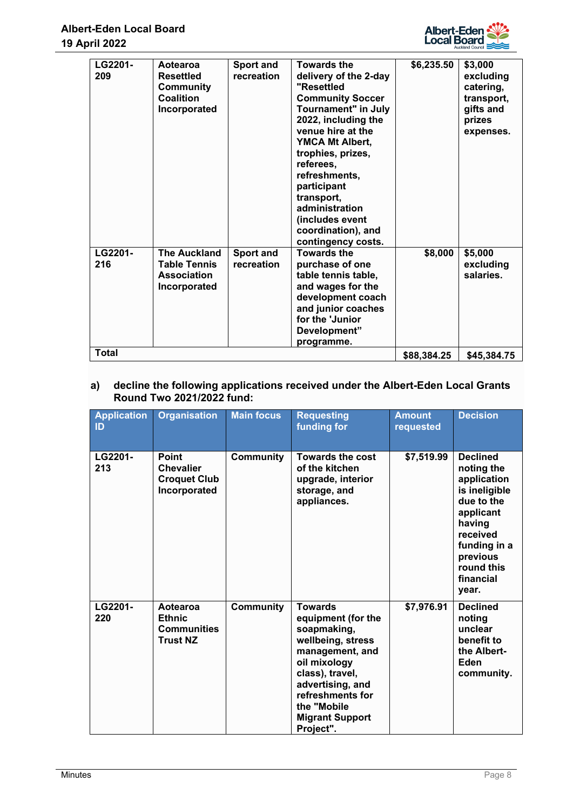

| LG2201-<br>209 | Aotearoa<br><b>Resettled</b><br>Community<br>Coalition<br>Incorporated           | <b>Sport and</b><br>recreation | <b>Towards the</b><br>delivery of the 2-day<br>"Resettled<br><b>Community Soccer</b><br>Tournament" in July<br>2022, including the<br>venue hire at the<br><b>YMCA Mt Albert,</b><br>trophies, prizes,<br>referees,<br>refreshments,<br>participant<br>transport,<br>administration<br>(includes event<br>coordination), and<br>contingency costs. | \$6,235.50  | \$3,000<br>excluding<br>catering,<br>transport,<br>gifts and<br>prizes<br>expenses. |
|----------------|----------------------------------------------------------------------------------|--------------------------------|----------------------------------------------------------------------------------------------------------------------------------------------------------------------------------------------------------------------------------------------------------------------------------------------------------------------------------------------------|-------------|-------------------------------------------------------------------------------------|
| LG2201-<br>216 | <b>The Auckland</b><br><b>Table Tennis</b><br><b>Association</b><br>Incorporated | <b>Sport and</b><br>recreation | <b>Towards the</b><br>purchase of one<br>table tennis table,<br>and wages for the<br>development coach<br>and junior coaches<br>for the 'Junior<br>Development"<br>programme.                                                                                                                                                                      | \$8,000     | \$5,000<br>excluding<br>salaries.                                                   |
| <b>Total</b>   |                                                                                  |                                |                                                                                                                                                                                                                                                                                                                                                    | \$88,384.25 | \$45,384.75                                                                         |

## **a) decline the following applications received under the Albert-Eden Local Grants Round Two 2021/2022 fund:**

| <b>Application</b><br>ID | <b>Organisation</b>                                                     | <b>Main focus</b> | <b>Requesting</b><br>funding for                                                                                                                                                                                              | <b>Amount</b><br>requested | <b>Decision</b>                                                                                                                                                                |
|--------------------------|-------------------------------------------------------------------------|-------------------|-------------------------------------------------------------------------------------------------------------------------------------------------------------------------------------------------------------------------------|----------------------------|--------------------------------------------------------------------------------------------------------------------------------------------------------------------------------|
| LG2201-<br>213           | <b>Point</b><br><b>Chevalier</b><br><b>Croquet Club</b><br>Incorporated | Community         | <b>Towards the cost</b><br>of the kitchen<br>upgrade, interior<br>storage, and<br>appliances.                                                                                                                                 | \$7,519.99                 | <b>Declined</b><br>noting the<br>application<br>is ineligible<br>due to the<br>applicant<br>having<br>received<br>funding in a<br>previous<br>round this<br>financial<br>year. |
| LG2201-<br>220           | Aotearoa<br><b>Ethnic</b><br><b>Communities</b><br><b>Trust NZ</b>      | <b>Community</b>  | <b>Towards</b><br>equipment (for the<br>soapmaking,<br>wellbeing, stress<br>management, and<br>oil mixology<br>class), travel,<br>advertising, and<br>refreshments for<br>the "Mobile"<br><b>Migrant Support</b><br>Project". | \$7,976.91                 | <b>Declined</b><br>noting<br>unclear<br>benefit to<br>the Albert-<br>Eden<br>community.                                                                                        |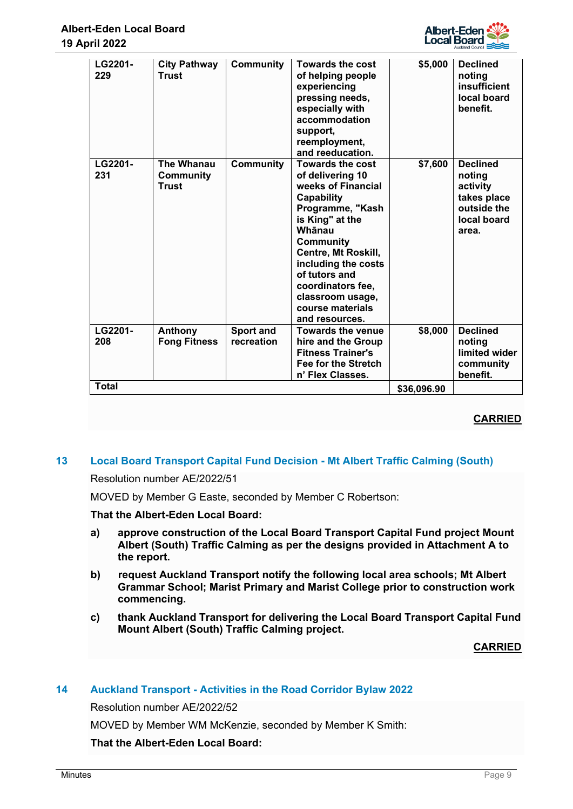| LG2201-<br>229 | <b>City Pathway</b><br><b>Trust</b>            | <b>Community</b>               | <b>Towards the cost</b><br>of helping people<br>experiencing<br>pressing needs,<br>especially with<br>accommodation<br>support,<br>reemployment,<br>and reeducation.                                                                                                                                      | \$5,000     | <b>Declined</b><br>noting<br>insufficient<br>local board<br>benefit.                        |
|----------------|------------------------------------------------|--------------------------------|-----------------------------------------------------------------------------------------------------------------------------------------------------------------------------------------------------------------------------------------------------------------------------------------------------------|-------------|---------------------------------------------------------------------------------------------|
| LG2201-<br>231 | The Whanau<br><b>Community</b><br><b>Trust</b> | <b>Community</b>               | <b>Towards the cost</b><br>of delivering 10<br>weeks of Financial<br><b>Capability</b><br>Programme, "Kash<br>is King" at the<br>Whānau<br><b>Community</b><br>Centre, Mt Roskill,<br>including the costs<br>of tutors and<br>coordinators fee,<br>classroom usage,<br>course materials<br>and resources. | \$7,600     | <b>Declined</b><br>noting<br>activity<br>takes place<br>outside the<br>local board<br>area. |
| LG2201-<br>208 | Anthony<br><b>Fong Fitness</b>                 | <b>Sport and</b><br>recreation | <b>Towards the venue</b><br>hire and the Group<br><b>Fitness Trainer's</b><br><b>Fee for the Stretch</b><br>n' Flex Classes.                                                                                                                                                                              | \$8,000     | <b>Declined</b><br>noting<br>limited wider<br>community<br>benefit.                         |
| <b>Total</b>   |                                                |                                |                                                                                                                                                                                                                                                                                                           | \$36,096.90 |                                                                                             |

## **13 Local Board Transport Capital Fund Decision - Mt Albert Traffic Calming (South)**

Resolution number AE/2022/51

MOVED by Member G Easte, seconded by Member C Robertson:

## **That the Albert-Eden Local Board:**

- **a) approve construction of the Local Board Transport Capital Fund project Mount Albert (South) Traffic Calming as per the designs provided in Attachment A to the report.**
- **b) request Auckland Transport notify the following local area schools; Mt Albert Grammar School; Marist Primary and Marist College prior to construction work commencing.**
- **c) thank Auckland Transport for delivering the Local Board Transport Capital Fund Mount Albert (South) Traffic Calming project.**

## **CARRIED**

## **14 Auckland Transport - Activities in the Road Corridor Bylaw 2022**

Resolution number AE/2022/52

MOVED by Member WM McKenzie, seconded by Member K Smith: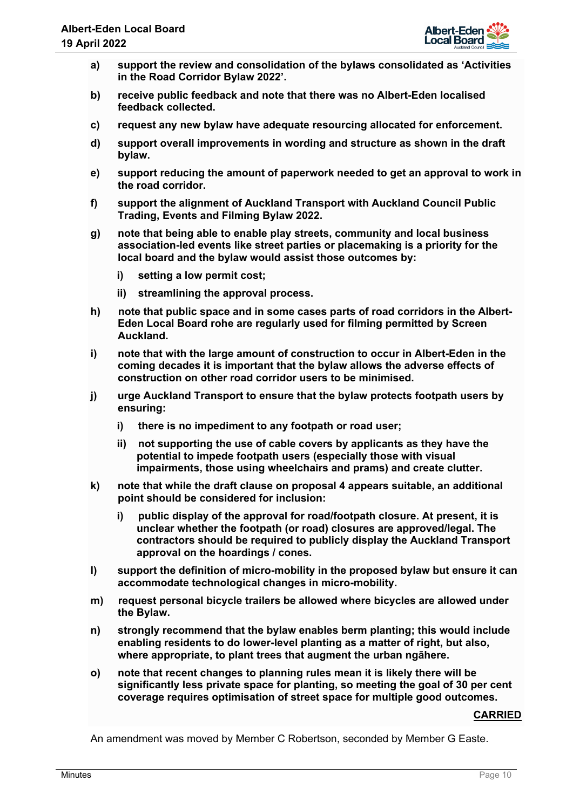

- **a) support the review and consolidation of the bylaws consolidated as 'Activities in the Road Corridor Bylaw 2022'.**
- **b) receive public feedback and note that there was no Albert-Eden localised feedback collected.**
- **c) request any new bylaw have adequate resourcing allocated for enforcement.**
- **d) support overall improvements in wording and structure as shown in the draft bylaw.**
- **e) support reducing the amount of paperwork needed to get an approval to work in the road corridor.**
- **f) support the alignment of Auckland Transport with Auckland Council Public Trading, Events and Filming Bylaw 2022.**
- **g) note that being able to enable play streets, community and local business association-led events like street parties or placemaking is a priority for the local board and the bylaw would assist those outcomes by:** 
	- **i) setting a low permit cost;**
	- **ii) streamlining the approval process.**
- **h) note that public space and in some cases parts of road corridors in the Albert-Eden Local Board rohe are regularly used for filming permitted by Screen Auckland.**
- **i) note that with the large amount of construction to occur in Albert-Eden in the coming decades it is important that the bylaw allows the adverse effects of construction on other road corridor users to be minimised.**
- **j) urge Auckland Transport to ensure that the bylaw protects footpath users by ensuring:** 
	- **i) there is no impediment to any footpath or road user;**
	- **ii) not supporting the use of cable covers by applicants as they have the potential to impede footpath users (especially those with visual impairments, those using wheelchairs and prams) and create clutter.**
- **k) note that while the draft clause on proposal 4 appears suitable, an additional point should be considered for inclusion:** 
	- **i) public display of the approval for road/footpath closure. At present, it is unclear whether the footpath (or road) closures are approved/legal. The contractors should be required to publicly display the Auckland Transport approval on the hoardings / cones.**
- **l) support the definition of micro-mobility in the proposed bylaw but ensure it can accommodate technological changes in micro-mobility.**
- **m) request personal bicycle trailers be allowed where bicycles are allowed under the Bylaw.**
- **n) strongly recommend that the bylaw enables berm planting; this would include enabling residents to do lower-level planting as a matter of right, but also, where appropriate, to plant trees that augment the urban ngāhere.**
- **o) note that recent changes to planning rules mean it is likely there will be significantly less private space for planting, so meeting the goal of 30 per cent coverage requires optimisation of street space for multiple good outcomes.**

An amendment was moved by Member C Robertson, seconded by Member G Easte.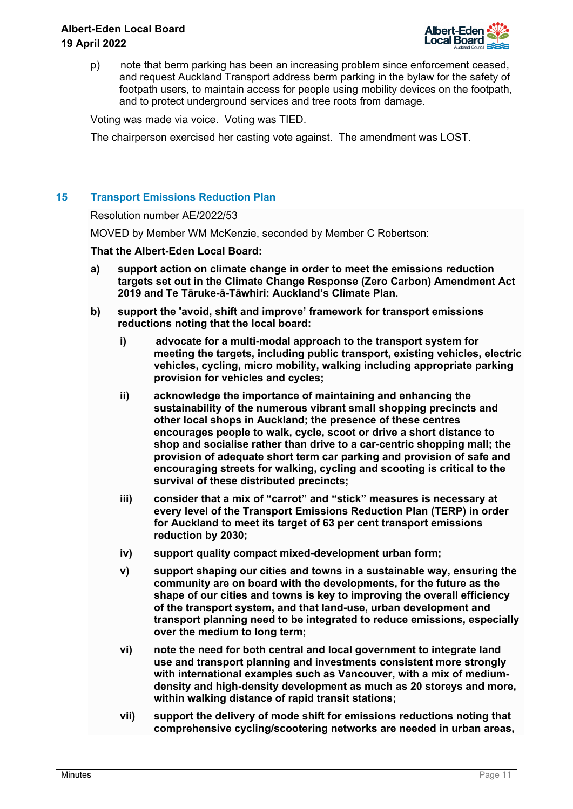

p) note that berm parking has been an increasing problem since enforcement ceased, and request Auckland Transport address berm parking in the bylaw for the safety of footpath users, to maintain access for people using mobility devices on the footpath, and to protect underground services and tree roots from damage.

Voting was made via voice. Voting was TIED.

The chairperson exercised her casting vote against. The amendment was LOST.

## **15 Transport Emissions Reduction Plan**

## Resolution number AE/2022/53

MOVED by Member WM McKenzie, seconded by Member C Robertson:

- **a) support action on climate change in order to meet the emissions reduction targets set out in the Climate Change Response (Zero Carbon) Amendment Act 2019 and Te Tāruke-ā-Tāwhiri: Auckland's Climate Plan.**
- **b) support the 'avoid, shift and improve' framework for transport emissions reductions noting that the local board:** 
	- **i) advocate for a multi-modal approach to the transport system for meeting the targets, including public transport, existing vehicles, electric vehicles, cycling, micro mobility, walking including appropriate parking provision for vehicles and cycles;**
	- **ii) acknowledge the importance of maintaining and enhancing the sustainability of the numerous vibrant small shopping precincts and other local shops in Auckland; the presence of these centres encourages people to walk, cycle, scoot or drive a short distance to shop and socialise rather than drive to a car-centric shopping mall; the provision of adequate short term car parking and provision of safe and encouraging streets for walking, cycling and scooting is critical to the survival of these distributed precincts;**
	- **iii) consider that a mix of "carrot" and "stick" measures is necessary at every level of the Transport Emissions Reduction Plan (TERP) in order for Auckland to meet its target of 63 per cent transport emissions reduction by 2030;**
	- **iv) support quality compact mixed-development urban form;**
	- **v) support shaping our cities and towns in a sustainable way, ensuring the community are on board with the developments, for the future as the shape of our cities and towns is key to improving the overall efficiency of the transport system, and that land-use, urban development and transport planning need to be integrated to reduce emissions, especially over the medium to long term;**
	- **vi) note the need for both central and local government to integrate land use and transport planning and investments consistent more strongly with international examples such as Vancouver, with a mix of mediumdensity and high-density development as much as 20 storeys and more, within walking distance of rapid transit stations;**
	- **vii) support the delivery of mode shift for emissions reductions noting that comprehensive cycling/scootering networks are needed in urban areas,**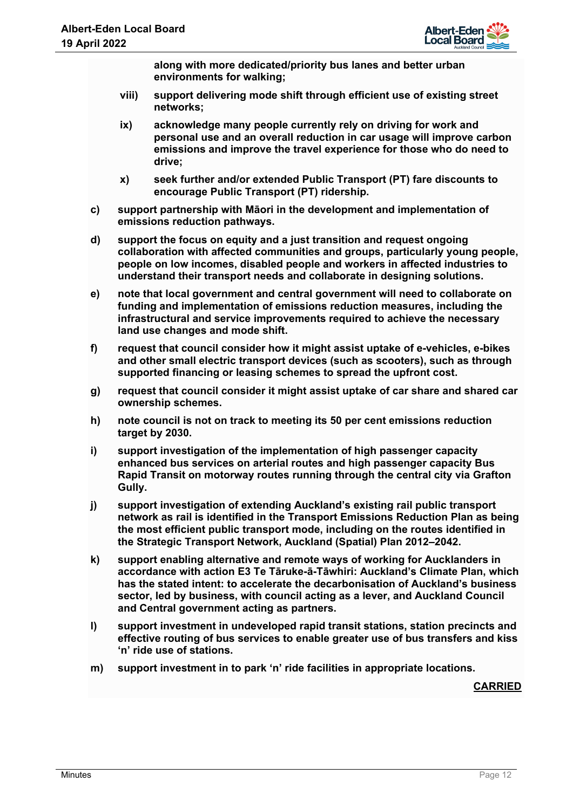

**along with more dedicated/priority bus lanes and better urban environments for walking;** 

- **viii) support delivering mode shift through efficient use of existing street networks;**
- **ix) acknowledge many people currently rely on driving for work and personal use and an overall reduction in car usage will improve carbon emissions and improve the travel experience for those who do need to drive;**
- **x) seek further and/or extended Public Transport (PT) fare discounts to encourage Public Transport (PT) ridership.**
- **c) support partnership with Māori in the development and implementation of emissions reduction pathways.**
- **d) support the focus on equity and a just transition and request ongoing collaboration with affected communities and groups, particularly young people, people on low incomes, disabled people and workers in affected industries to understand their transport needs and collaborate in designing solutions.**
- **e) note that local government and central government will need to collaborate on funding and implementation of emissions reduction measures, including the infrastructural and service improvements required to achieve the necessary land use changes and mode shift.**
- **f) request that council consider how it might assist uptake of e-vehicles, e-bikes and other small electric transport devices (such as scooters), such as through supported financing or leasing schemes to spread the upfront cost.**
- **g) request that council consider it might assist uptake of car share and shared car ownership schemes.**
- **h) note council is not on track to meeting its 50 per cent emissions reduction target by 2030.**
- **i) support investigation of the implementation of high passenger capacity enhanced bus services on arterial routes and high passenger capacity Bus Rapid Transit on motorway routes running through the central city via Grafton Gully.**
- **j) support investigation of extending Auckland's existing rail public transport network as rail is identified in the Transport Emissions Reduction Plan as being the most efficient public transport mode, including on the routes identified in the Strategic Transport Network, Auckland (Spatial) Plan 2012–2042.**
- **k) support enabling alternative and remote ways of working for Aucklanders in accordance with action E3 Te Tāruke-ā-Tāwhiri: Auckland's Climate Plan, which has the stated intent: to accelerate the decarbonisation of Auckland's business sector, led by business, with council acting as a lever, and Auckland Council and Central government acting as partners.**
- **l) support investment in undeveloped rapid transit stations, station precincts and effective routing of bus services to enable greater use of bus transfers and kiss 'n' ride use of stations.**
- **m) support investment in to park 'n' ride facilities in appropriate locations.**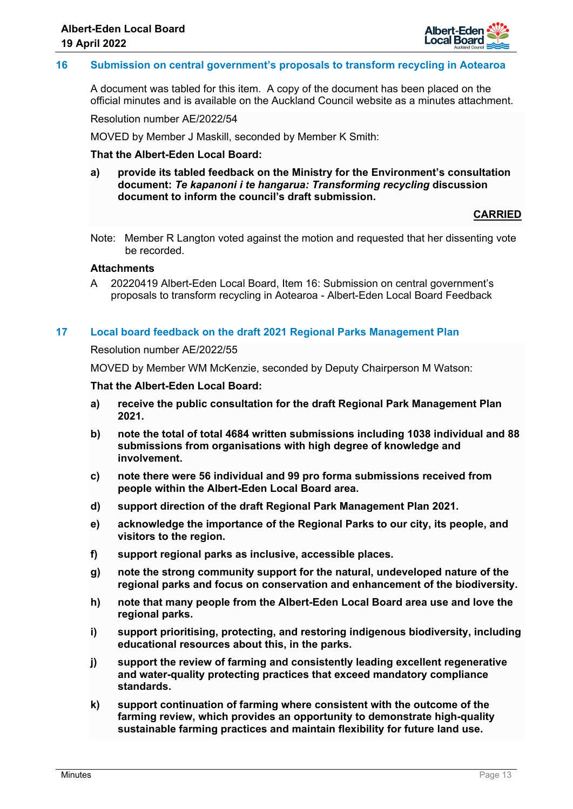

## **16 Submission on central government's proposals to transform recycling in Aotearoa**

A document was tabled for this item. A copy of the document has been placed on the official minutes and is available on the Auckland Council website as a minutes attachment.

Resolution number AE/2022/54

MOVED by Member J Maskill, seconded by Member K Smith:

## **That the Albert-Eden Local Board:**

**a) provide its tabled feedback on the Ministry for the Environment's consultation document:** *Te kapanoni i te hangarua: Transforming recycling* **discussion document to inform the council's draft submission.**

#### **CARRIED**

Note: Member R Langton voted against the motion and requested that her dissenting vote be recorded.

# **Attachments**

A 20220419 Albert-Eden Local Board, Item 16: Submission on central government's proposals to transform recycling in Aotearoa - Albert-Eden Local Board Feedback

#### **17 Local board feedback on the draft 2021 Regional Parks Management Plan**

#### Resolution number AE/2022/55

MOVED by Member WM McKenzie, seconded by Deputy Chairperson M Watson:

- **a) receive the public consultation for the draft Regional Park Management Plan 2021.**
- **b) note the total of total 4684 written submissions including 1038 individual and 88 submissions from organisations with high degree of knowledge and involvement.**
- **c) note there were 56 individual and 99 pro forma submissions received from people within the Albert-Eden Local Board area.**
- **d) support direction of the draft Regional Park Management Plan 2021.**
- **e) acknowledge the importance of the Regional Parks to our city, its people, and visitors to the region.**
- **f) support regional parks as inclusive, accessible places.**
- **g) note the strong community support for the natural, undeveloped nature of the regional parks and focus on conservation and enhancement of the biodiversity.**
- **h) note that many people from the Albert-Eden Local Board area use and love the regional parks.**
- **i) support prioritising, protecting, and restoring indigenous biodiversity, including educational resources about this, in the parks.**
- **j) support the review of farming and consistently leading excellent regenerative and water-quality protecting practices that exceed mandatory compliance standards.**
- **k) support continuation of farming where consistent with the outcome of the farming review, which provides an opportunity to demonstrate high-quality sustainable farming practices and maintain flexibility for future land use.**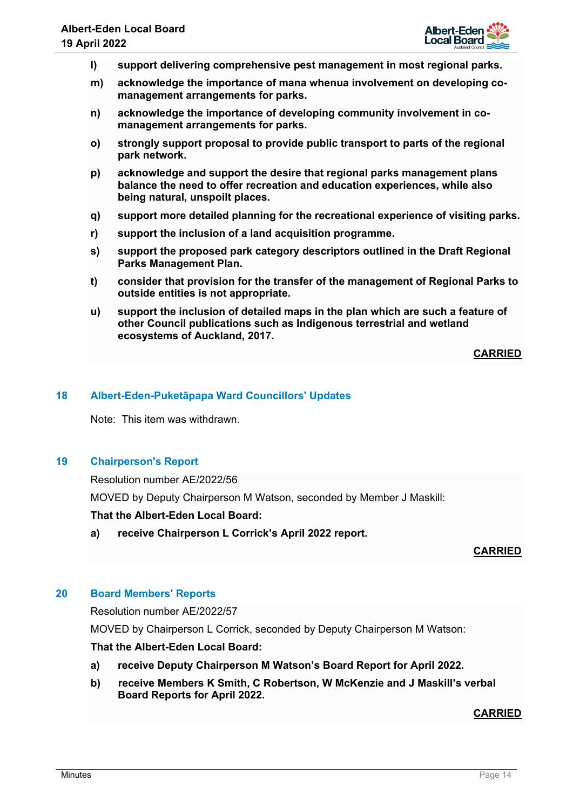

- **l) support delivering comprehensive pest management in most regional parks.**
- **m) acknowledge the importance of mana whenua involvement on developing comanagement arrangements for parks.**
- **n) acknowledge the importance of developing community involvement in comanagement arrangements for parks.**
- **o) strongly support proposal to provide public transport to parts of the regional park network.**
- **p) acknowledge and support the desire that regional parks management plans balance the need to offer recreation and education experiences, while also being natural, unspoilt places.**
- **q) support more detailed planning for the recreational experience of visiting parks.**
- **r) support the inclusion of a land acquisition programme.**
- **s) support the proposed park category descriptors outlined in the Draft Regional Parks Management Plan.**
- **t) consider that provision for the transfer of the management of Regional Parks to outside entities is not appropriate.**
- **u) support the inclusion of detailed maps in the plan which are such a feature of other Council publications such as Indigenous terrestrial and wetland ecosystems of Auckland, 2017.**

## **18 Albert-Eden-Puketāpapa Ward Councillors' Updates**

Note: This item was withdrawn.

## **19 Chairperson's Report**

Resolution number AE/2022/56

MOVED by Deputy Chairperson M Watson, seconded by Member J Maskill:

#### **That the Albert-Eden Local Board:**

**a) receive Chairperson L Corrick's April 2022 report.**

**CARRIED**

## **20 Board Members' Reports**

Resolution number AE/2022/57

MOVED by Chairperson L Corrick, seconded by Deputy Chairperson M Watson:

## **That the Albert-Eden Local Board:**

- **a) receive Deputy Chairperson M Watson's Board Report for April 2022.**
- **b) receive Members K Smith, C Robertson, W McKenzie and J Maskill's verbal Board Reports for April 2022.**